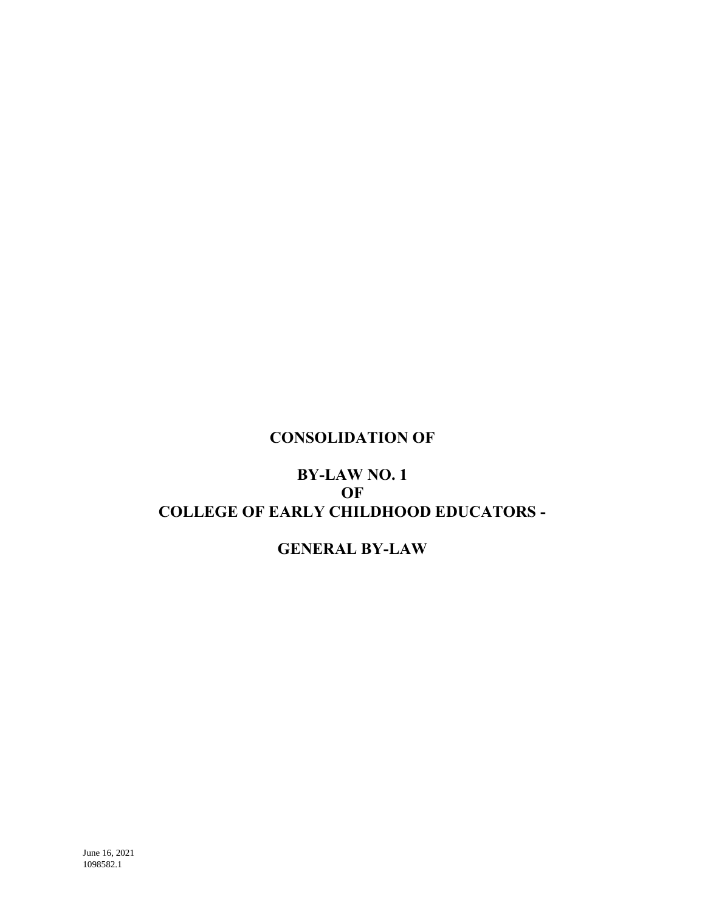## **CONSOLIDATION OF**

# **BY-LAW NO. 1 OF COLLEGE OF EARLY CHILDHOOD EDUCATORS -**

## **GENERAL BY-LAW**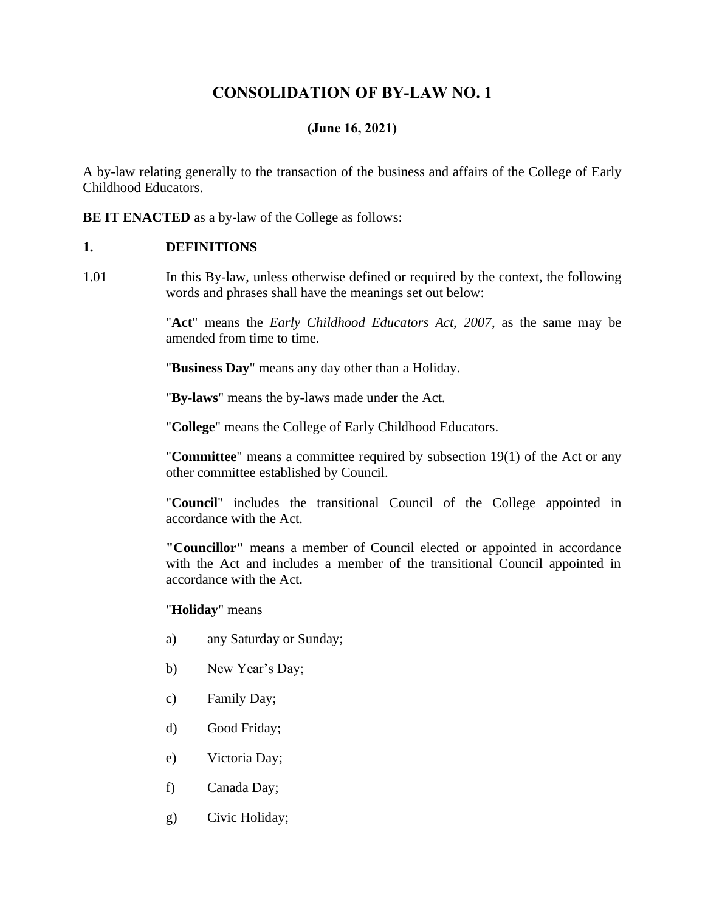## **CONSOLIDATION OF BY-LAW NO. 1**

## **(June 16, 2021)**

A by-law relating generally to the transaction of the business and affairs of the College of Early Childhood Educators.

**BE IT ENACTED** as a by-law of the College as follows:

#### **1. DEFINITIONS**

1.01 In this By-law, unless otherwise defined or required by the context, the following words and phrases shall have the meanings set out below:

> "**Act**" means the *Early Childhood Educators Act, 2007*, as the same may be amended from time to time.

"**Business Day**" means any day other than a Holiday.

"**By-laws**" means the by-laws made under the Act.

"**College**" means the College of Early Childhood Educators.

"**Committee**" means a committee required by subsection 19(1) of the Act or any other committee established by Council.

"**Council**" includes the transitional Council of the College appointed in accordance with the Act.

**"Councillor"** means a member of Council elected or appointed in accordance with the Act and includes a member of the transitional Council appointed in accordance with the Act.

#### "**Holiday**" means

- a) any Saturday or Sunday;
- b) New Year's Day;
- c) Family Day;
- d) Good Friday;
- e) Victoria Day;
- f) Canada Day;
- g) Civic Holiday;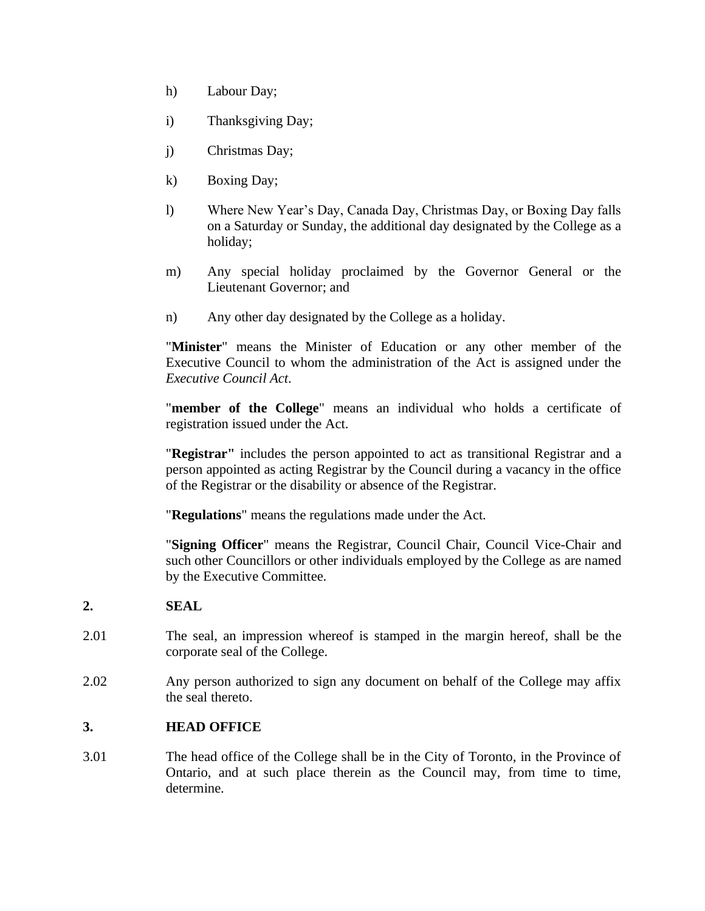- h) Labour Day;
- i) Thanksgiving Day;
- j) Christmas Day;
- k) Boxing Day;
- l) Where New Year's Day, Canada Day, Christmas Day, or Boxing Day falls on a Saturday or Sunday, the additional day designated by the College as a holiday;
- m) Any special holiday proclaimed by the Governor General or the Lieutenant Governor; and
- n) Any other day designated by the College as a holiday.

"**Minister**" means the Minister of Education or any other member of the Executive Council to whom the administration of the Act is assigned under the *Executive Council Act*.

"**member of the College**" means an individual who holds a certificate of registration issued under the Act.

"**Registrar"** includes the person appointed to act as transitional Registrar and a person appointed as acting Registrar by the Council during a vacancy in the office of the Registrar or the disability or absence of the Registrar.

"**Regulations**" means the regulations made under the Act.

"**Signing Officer**" means the Registrar, Council Chair, Council Vice-Chair and such other Councillors or other individuals employed by the College as are named by the Executive Committee.

## **2. SEAL**

- 2.01 The seal, an impression whereof is stamped in the margin hereof, shall be the corporate seal of the College.
- 2.02 Any person authorized to sign any document on behalf of the College may affix the seal thereto.

## **3. HEAD OFFICE**

3.01 The head office of the College shall be in the City of Toronto, in the Province of Ontario, and at such place therein as the Council may, from time to time, determine.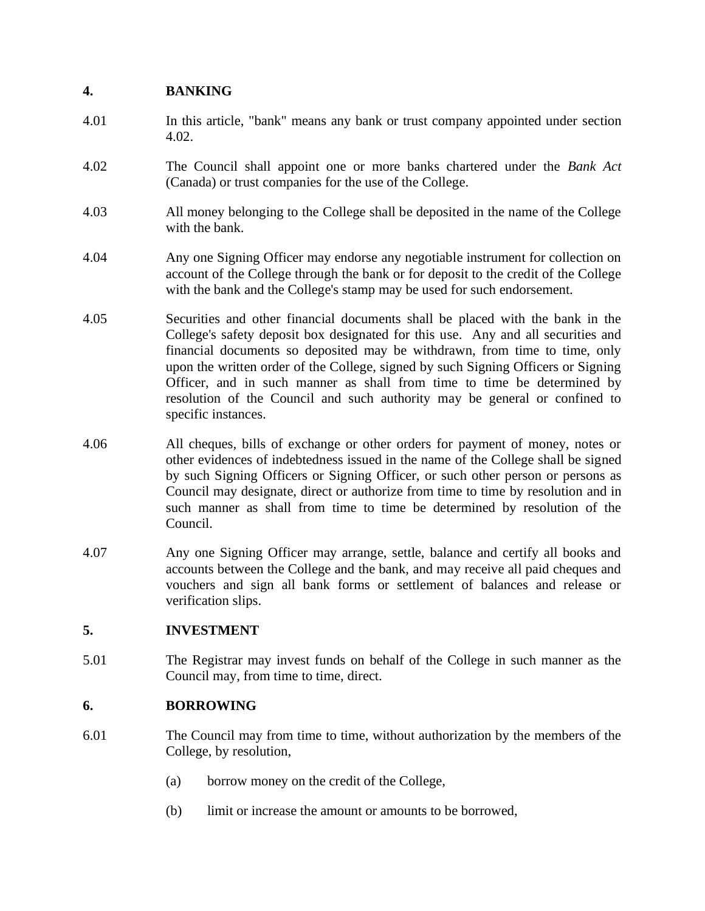## **4. BANKING**

- 4.01 In this article, "bank" means any bank or trust company appointed under section 4.02.
- 4.02 The Council shall appoint one or more banks chartered under the *Bank Act*  (Canada) or trust companies for the use of the College.
- 4.03 All money belonging to the College shall be deposited in the name of the College with the bank.
- 4.04 Any one Signing Officer may endorse any negotiable instrument for collection on account of the College through the bank or for deposit to the credit of the College with the bank and the College's stamp may be used for such endorsement.
- 4.05 Securities and other financial documents shall be placed with the bank in the College's safety deposit box designated for this use. Any and all securities and financial documents so deposited may be withdrawn, from time to time, only upon the written order of the College, signed by such Signing Officers or Signing Officer, and in such manner as shall from time to time be determined by resolution of the Council and such authority may be general or confined to specific instances.
- 4.06 All cheques, bills of exchange or other orders for payment of money, notes or other evidences of indebtedness issued in the name of the College shall be signed by such Signing Officers or Signing Officer, or such other person or persons as Council may designate, direct or authorize from time to time by resolution and in such manner as shall from time to time be determined by resolution of the Council.
- 4.07 Any one Signing Officer may arrange, settle, balance and certify all books and accounts between the College and the bank, and may receive all paid cheques and vouchers and sign all bank forms or settlement of balances and release or verification slips.

#### **5. INVESTMENT**

5.01 The Registrar may invest funds on behalf of the College in such manner as the Council may, from time to time, direct.

## **6. BORROWING**

- 6.01 The Council may from time to time, without authorization by the members of the College, by resolution,
	- (a) borrow money on the credit of the College,
	- (b) limit or increase the amount or amounts to be borrowed,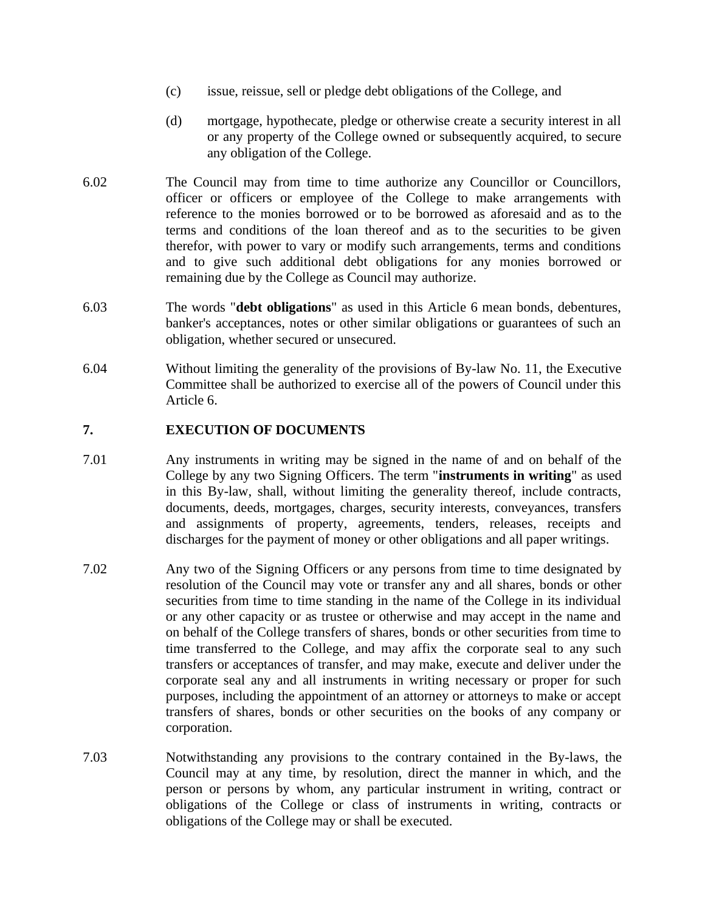- (c) issue, reissue, sell or pledge debt obligations of the College, and
- (d) mortgage, hypothecate, pledge or otherwise create a security interest in all or any property of the College owned or subsequently acquired, to secure any obligation of the College.
- 6.02 The Council may from time to time authorize any Councillor or Councillors, officer or officers or employee of the College to make arrangements with reference to the monies borrowed or to be borrowed as aforesaid and as to the terms and conditions of the loan thereof and as to the securities to be given therefor, with power to vary or modify such arrangements, terms and conditions and to give such additional debt obligations for any monies borrowed or remaining due by the College as Council may authorize.
- 6.03 The words "**debt obligations**" as used in this Article 6 mean bonds, debentures, banker's acceptances, notes or other similar obligations or guarantees of such an obligation, whether secured or unsecured.
- 6.04 Without limiting the generality of the provisions of By-law No. 11, the Executive Committee shall be authorized to exercise all of the powers of Council under this Article 6.

#### **7. EXECUTION OF DOCUMENTS**

- 7.01 Any instruments in writing may be signed in the name of and on behalf of the College by any two Signing Officers. The term "**instruments in writing**" as used in this By-law, shall, without limiting the generality thereof, include contracts, documents, deeds, mortgages, charges, security interests, conveyances, transfers and assignments of property, agreements, tenders, releases, receipts and discharges for the payment of money or other obligations and all paper writings.
- 7.02 Any two of the Signing Officers or any persons from time to time designated by resolution of the Council may vote or transfer any and all shares, bonds or other securities from time to time standing in the name of the College in its individual or any other capacity or as trustee or otherwise and may accept in the name and on behalf of the College transfers of shares, bonds or other securities from time to time transferred to the College, and may affix the corporate seal to any such transfers or acceptances of transfer, and may make, execute and deliver under the corporate seal any and all instruments in writing necessary or proper for such purposes, including the appointment of an attorney or attorneys to make or accept transfers of shares, bonds or other securities on the books of any company or corporation.
- 7.03 Notwithstanding any provisions to the contrary contained in the By-laws, the Council may at any time, by resolution, direct the manner in which, and the person or persons by whom, any particular instrument in writing, contract or obligations of the College or class of instruments in writing, contracts or obligations of the College may or shall be executed.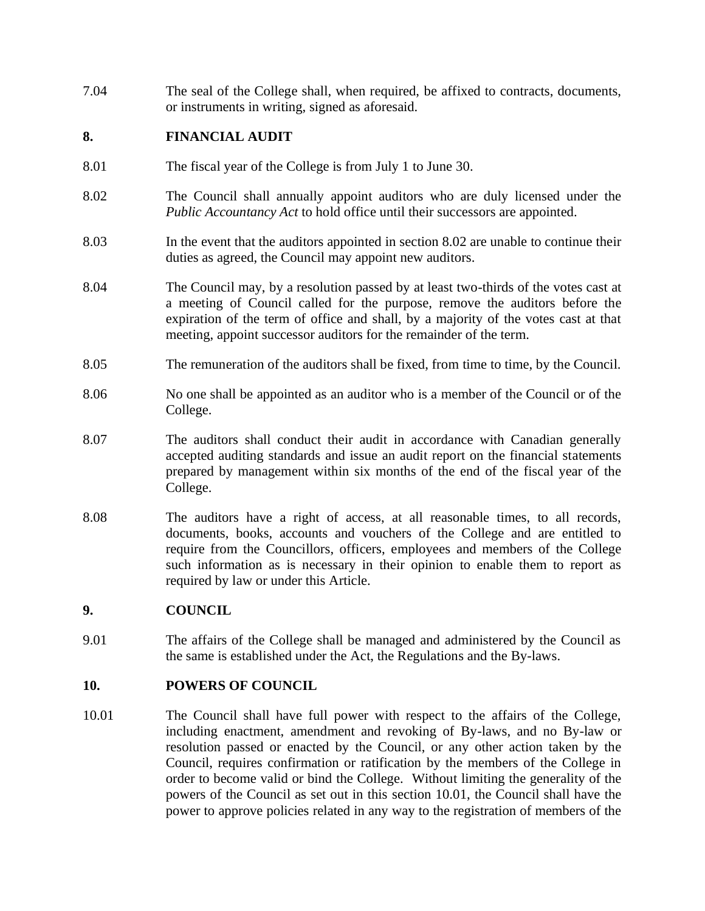7.04 The seal of the College shall, when required, be affixed to contracts, documents, or instruments in writing, signed as aforesaid.

#### **8. FINANCIAL AUDIT**

- 8.01 The fiscal year of the College is from July 1 to June 30.
- 8.02 The Council shall annually appoint auditors who are duly licensed under the *Public Accountancy Act* to hold office until their successors are appointed.
- 8.03 In the event that the auditors appointed in section 8.02 are unable to continue their duties as agreed, the Council may appoint new auditors.
- 8.04 The Council may, by a resolution passed by at least two-thirds of the votes cast at a meeting of Council called for the purpose, remove the auditors before the expiration of the term of office and shall, by a majority of the votes cast at that meeting, appoint successor auditors for the remainder of the term.
- 8.05 The remuneration of the auditors shall be fixed, from time to time, by the Council.
- 8.06 No one shall be appointed as an auditor who is a member of the Council or of the College.
- 8.07 The auditors shall conduct their audit in accordance with Canadian generally accepted auditing standards and issue an audit report on the financial statements prepared by management within six months of the end of the fiscal year of the College.
- 8.08 The auditors have a right of access, at all reasonable times, to all records, documents, books, accounts and vouchers of the College and are entitled to require from the Councillors, officers, employees and members of the College such information as is necessary in their opinion to enable them to report as required by law or under this Article.

#### **9. COUNCIL**

9.01 The affairs of the College shall be managed and administered by the Council as the same is established under the Act, the Regulations and the By-laws.

#### **10. POWERS OF COUNCIL**

10.01 The Council shall have full power with respect to the affairs of the College, including enactment, amendment and revoking of By-laws, and no By-law or resolution passed or enacted by the Council, or any other action taken by the Council, requires confirmation or ratification by the members of the College in order to become valid or bind the College. Without limiting the generality of the powers of the Council as set out in this section 10.01, the Council shall have the power to approve policies related in any way to the registration of members of the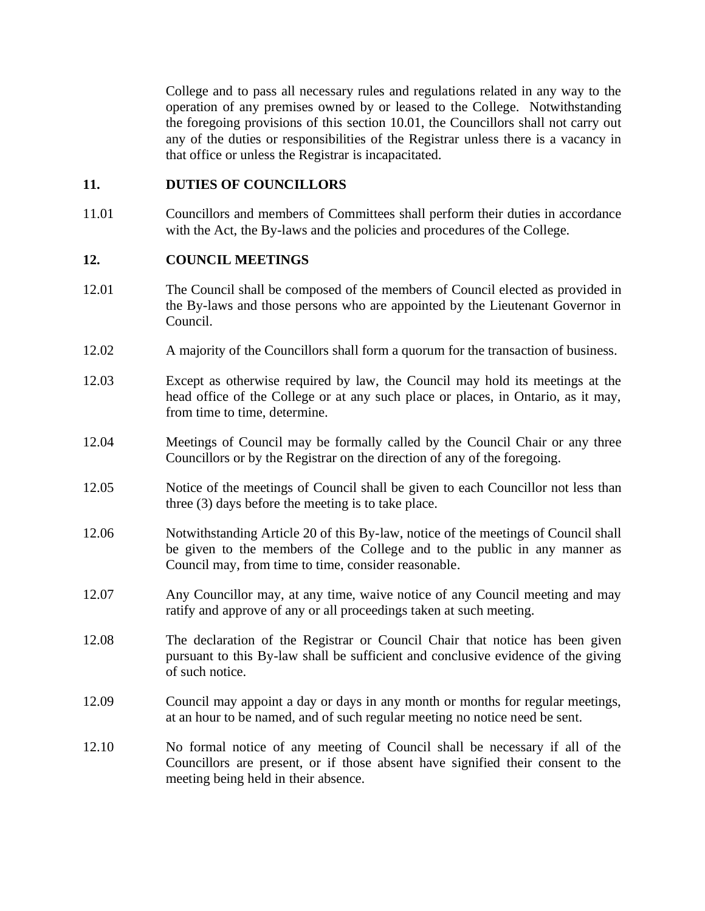College and to pass all necessary rules and regulations related in any way to the operation of any premises owned by or leased to the College. Notwithstanding the foregoing provisions of this section 10.01, the Councillors shall not carry out any of the duties or responsibilities of the Registrar unless there is a vacancy in that office or unless the Registrar is incapacitated.

#### **11. DUTIES OF COUNCILLORS**

11.01 Councillors and members of Committees shall perform their duties in accordance with the Act, the By-laws and the policies and procedures of the College.

#### **12. COUNCIL MEETINGS**

- 12.01 The Council shall be composed of the members of Council elected as provided in the By-laws and those persons who are appointed by the Lieutenant Governor in Council.
- 12.02 A majority of the Councillors shall form a quorum for the transaction of business.
- 12.03 Except as otherwise required by law, the Council may hold its meetings at the head office of the College or at any such place or places, in Ontario, as it may, from time to time, determine.
- 12.04 Meetings of Council may be formally called by the Council Chair or any three Councillors or by the Registrar on the direction of any of the foregoing.
- 12.05 Notice of the meetings of Council shall be given to each Councillor not less than three (3) days before the meeting is to take place.
- 12.06 Notwithstanding Article 20 of this By-law, notice of the meetings of Council shall be given to the members of the College and to the public in any manner as Council may, from time to time, consider reasonable.
- 12.07 Any Councillor may, at any time, waive notice of any Council meeting and may ratify and approve of any or all proceedings taken at such meeting.
- 12.08 The declaration of the Registrar or Council Chair that notice has been given pursuant to this By-law shall be sufficient and conclusive evidence of the giving of such notice.
- 12.09 Council may appoint a day or days in any month or months for regular meetings, at an hour to be named, and of such regular meeting no notice need be sent.
- 12.10 No formal notice of any meeting of Council shall be necessary if all of the Councillors are present, or if those absent have signified their consent to the meeting being held in their absence.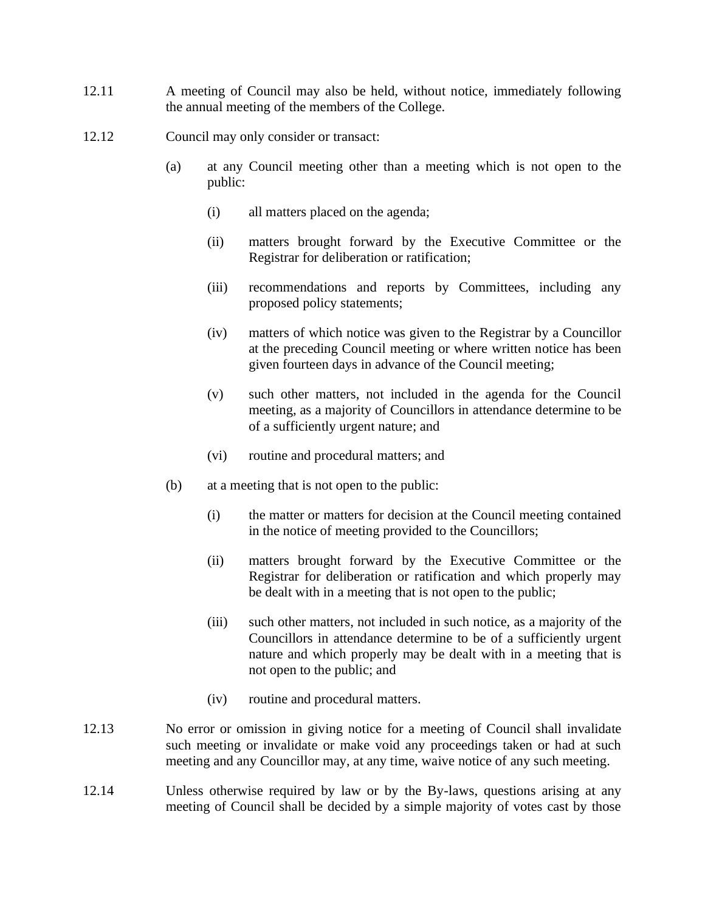- 12.11 A meeting of Council may also be held, without notice, immediately following the annual meeting of the members of the College.
- 12.12 Council may only consider or transact:
	- (a) at any Council meeting other than a meeting which is not open to the public:
		- (i) all matters placed on the agenda;
		- (ii) matters brought forward by the Executive Committee or the Registrar for deliberation or ratification;
		- (iii) recommendations and reports by Committees, including any proposed policy statements;
		- (iv) matters of which notice was given to the Registrar by a Councillor at the preceding Council meeting or where written notice has been given fourteen days in advance of the Council meeting;
		- (v) such other matters, not included in the agenda for the Council meeting, as a majority of Councillors in attendance determine to be of a sufficiently urgent nature; and
		- (vi) routine and procedural matters; and
	- (b) at a meeting that is not open to the public:
		- (i) the matter or matters for decision at the Council meeting contained in the notice of meeting provided to the Councillors;
		- (ii) matters brought forward by the Executive Committee or the Registrar for deliberation or ratification and which properly may be dealt with in a meeting that is not open to the public;
		- (iii) such other matters, not included in such notice, as a majority of the Councillors in attendance determine to be of a sufficiently urgent nature and which properly may be dealt with in a meeting that is not open to the public; and
		- (iv) routine and procedural matters.
- 12.13 No error or omission in giving notice for a meeting of Council shall invalidate such meeting or invalidate or make void any proceedings taken or had at such meeting and any Councillor may, at any time, waive notice of any such meeting.
- 12.14 Unless otherwise required by law or by the By-laws, questions arising at any meeting of Council shall be decided by a simple majority of votes cast by those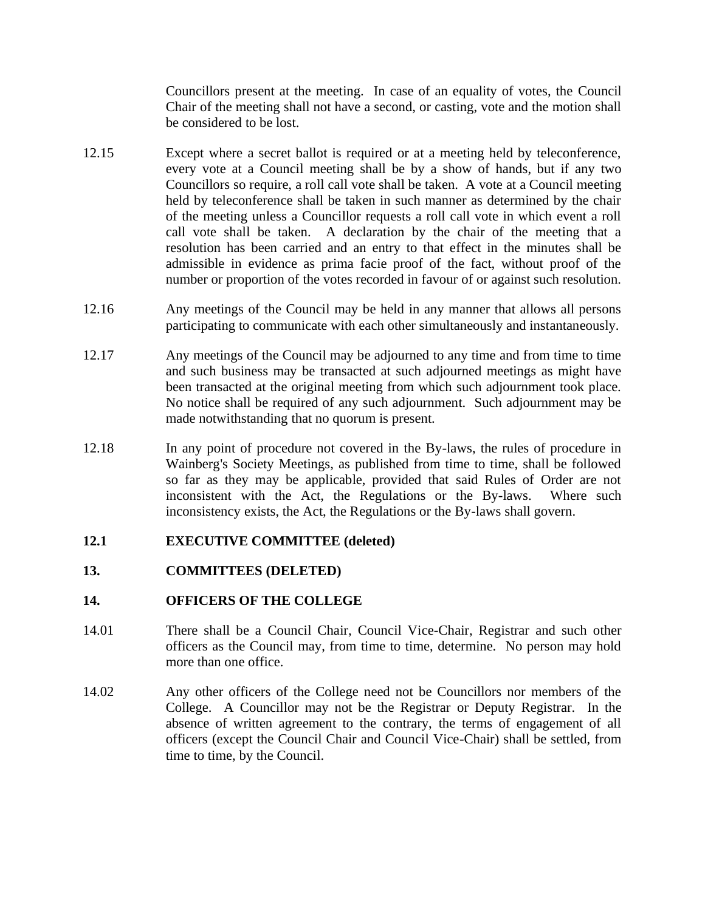Councillors present at the meeting. In case of an equality of votes, the Council Chair of the meeting shall not have a second, or casting, vote and the motion shall be considered to be lost.

- 12.15 Except where a secret ballot is required or at a meeting held by teleconference, every vote at a Council meeting shall be by a show of hands, but if any two Councillors so require, a roll call vote shall be taken. A vote at a Council meeting held by teleconference shall be taken in such manner as determined by the chair of the meeting unless a Councillor requests a roll call vote in which event a roll call vote shall be taken. A declaration by the chair of the meeting that a resolution has been carried and an entry to that effect in the minutes shall be admissible in evidence as prima facie proof of the fact, without proof of the number or proportion of the votes recorded in favour of or against such resolution.
- 12.16 Any meetings of the Council may be held in any manner that allows all persons participating to communicate with each other simultaneously and instantaneously.
- 12.17 Any meetings of the Council may be adjourned to any time and from time to time and such business may be transacted at such adjourned meetings as might have been transacted at the original meeting from which such adjournment took place. No notice shall be required of any such adjournment. Such adjournment may be made notwithstanding that no quorum is present.
- 12.18 In any point of procedure not covered in the By-laws, the rules of procedure in Wainberg's Society Meetings, as published from time to time, shall be followed so far as they may be applicable, provided that said Rules of Order are not inconsistent with the Act, the Regulations or the By-laws. Where such inconsistency exists, the Act, the Regulations or the By-laws shall govern.

#### **12.1 EXECUTIVE COMMITTEE (deleted)**

#### **13. COMMITTEES (DELETED)**

#### **14. OFFICERS OF THE COLLEGE**

- 14.01 There shall be a Council Chair, Council Vice-Chair, Registrar and such other officers as the Council may, from time to time, determine. No person may hold more than one office.
- 14.02 Any other officers of the College need not be Councillors nor members of the College. A Councillor may not be the Registrar or Deputy Registrar. In the absence of written agreement to the contrary, the terms of engagement of all officers (except the Council Chair and Council Vice-Chair) shall be settled, from time to time, by the Council.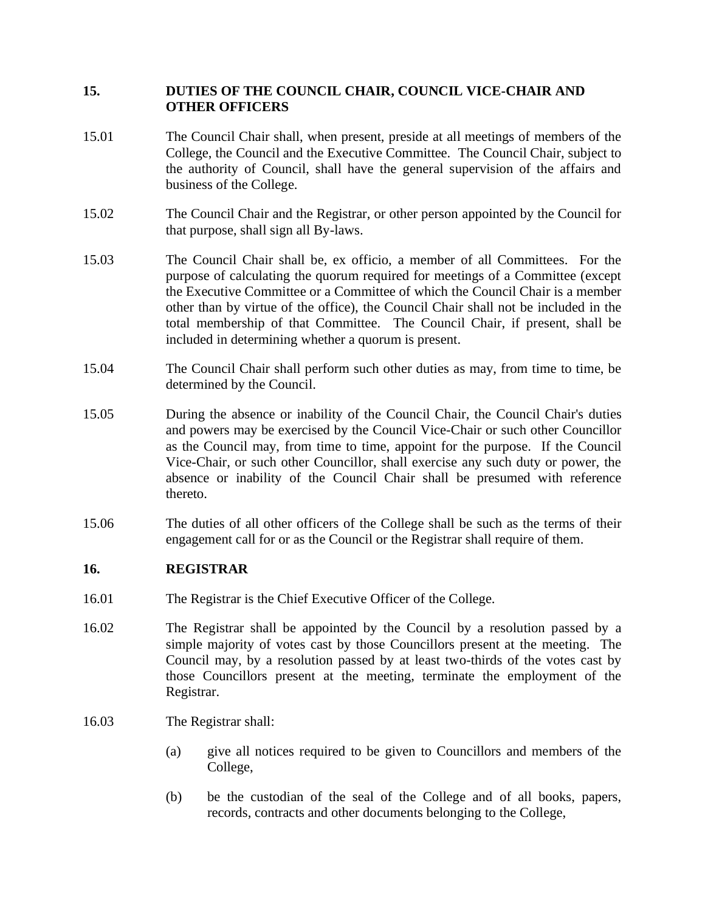## **15. DUTIES OF THE COUNCIL CHAIR, COUNCIL VICE-CHAIR AND OTHER OFFICERS**

- 15.01 The Council Chair shall, when present, preside at all meetings of members of the College, the Council and the Executive Committee. The Council Chair, subject to the authority of Council, shall have the general supervision of the affairs and business of the College.
- 15.02 The Council Chair and the Registrar, or other person appointed by the Council for that purpose, shall sign all By-laws.
- 15.03 The Council Chair shall be, ex officio, a member of all Committees. For the purpose of calculating the quorum required for meetings of a Committee (except the Executive Committee or a Committee of which the Council Chair is a member other than by virtue of the office), the Council Chair shall not be included in the total membership of that Committee. The Council Chair, if present, shall be included in determining whether a quorum is present.
- 15.04 The Council Chair shall perform such other duties as may, from time to time, be determined by the Council.
- 15.05 During the absence or inability of the Council Chair, the Council Chair's duties and powers may be exercised by the Council Vice-Chair or such other Councillor as the Council may, from time to time, appoint for the purpose. If the Council Vice-Chair, or such other Councillor, shall exercise any such duty or power, the absence or inability of the Council Chair shall be presumed with reference thereto.
- 15.06 The duties of all other officers of the College shall be such as the terms of their engagement call for or as the Council or the Registrar shall require of them.

#### **16. REGISTRAR**

- 16.01 The Registrar is the Chief Executive Officer of the College.
- 16.02 The Registrar shall be appointed by the Council by a resolution passed by a simple majority of votes cast by those Councillors present at the meeting. The Council may, by a resolution passed by at least two-thirds of the votes cast by those Councillors present at the meeting, terminate the employment of the Registrar.
- 16.03 The Registrar shall:
	- (a) give all notices required to be given to Councillors and members of the College,
	- (b) be the custodian of the seal of the College and of all books, papers, records, contracts and other documents belonging to the College,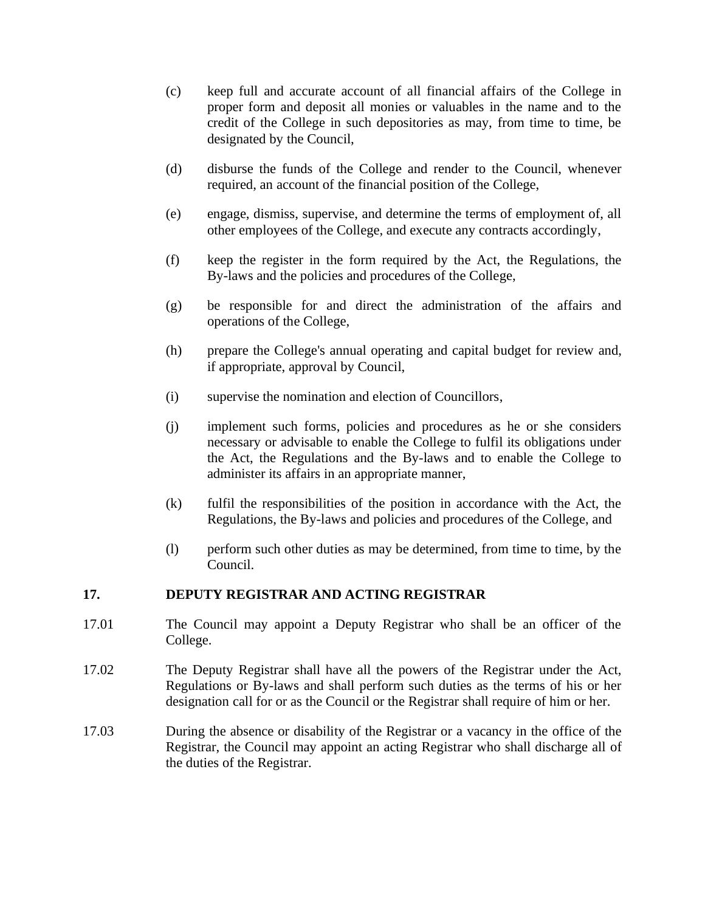- (c) keep full and accurate account of all financial affairs of the College in proper form and deposit all monies or valuables in the name and to the credit of the College in such depositories as may, from time to time, be designated by the Council,
- (d) disburse the funds of the College and render to the Council, whenever required, an account of the financial position of the College,
- (e) engage, dismiss, supervise, and determine the terms of employment of, all other employees of the College, and execute any contracts accordingly,
- (f) keep the register in the form required by the Act, the Regulations, the By-laws and the policies and procedures of the College,
- (g) be responsible for and direct the administration of the affairs and operations of the College,
- (h) prepare the College's annual operating and capital budget for review and, if appropriate, approval by Council,
- (i) supervise the nomination and election of Councillors,
- (j) implement such forms, policies and procedures as he or she considers necessary or advisable to enable the College to fulfil its obligations under the Act, the Regulations and the By-laws and to enable the College to administer its affairs in an appropriate manner,
- (k) fulfil the responsibilities of the position in accordance with the Act, the Regulations, the By-laws and policies and procedures of the College, and
- (l) perform such other duties as may be determined, from time to time, by the Council.

#### **17. DEPUTY REGISTRAR AND ACTING REGISTRAR**

- 17.01 The Council may appoint a Deputy Registrar who shall be an officer of the College.
- 17.02 The Deputy Registrar shall have all the powers of the Registrar under the Act, Regulations or By-laws and shall perform such duties as the terms of his or her designation call for or as the Council or the Registrar shall require of him or her.
- 17.03 During the absence or disability of the Registrar or a vacancy in the office of the Registrar, the Council may appoint an acting Registrar who shall discharge all of the duties of the Registrar.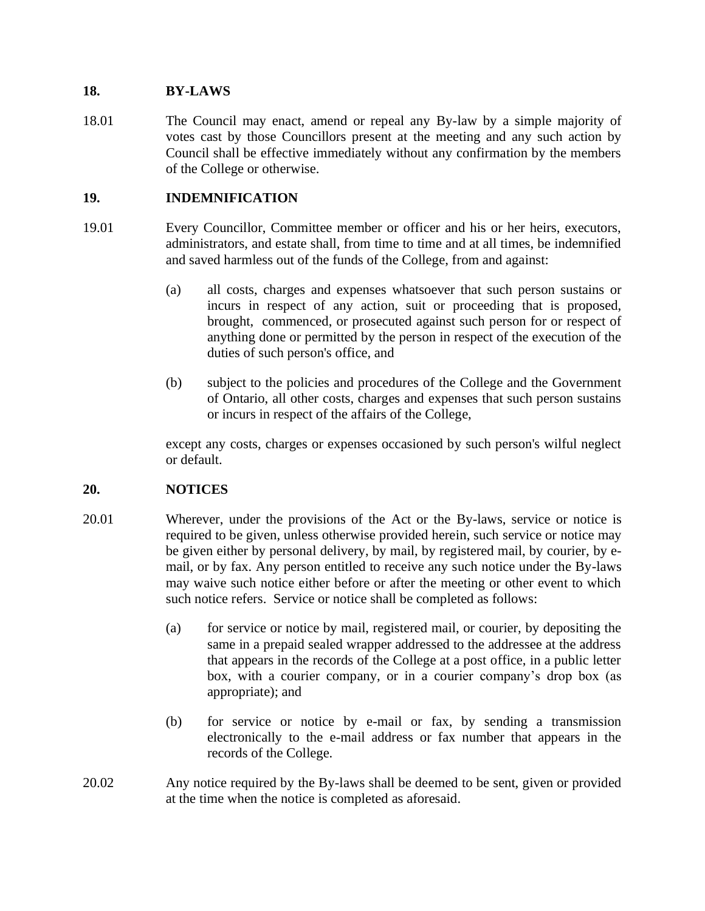## **18. BY-LAWS**

18.01 The Council may enact, amend or repeal any By-law by a simple majority of votes cast by those Councillors present at the meeting and any such action by Council shall be effective immediately without any confirmation by the members of the College or otherwise.

## **19. INDEMNIFICATION**

- 19.01 Every Councillor, Committee member or officer and his or her heirs, executors, administrators, and estate shall, from time to time and at all times, be indemnified and saved harmless out of the funds of the College, from and against:
	- (a) all costs, charges and expenses whatsoever that such person sustains or incurs in respect of any action, suit or proceeding that is proposed, brought, commenced, or prosecuted against such person for or respect of anything done or permitted by the person in respect of the execution of the duties of such person's office, and
	- (b) subject to the policies and procedures of the College and the Government of Ontario, all other costs, charges and expenses that such person sustains or incurs in respect of the affairs of the College,

except any costs, charges or expenses occasioned by such person's wilful neglect or default.

## **20. NOTICES**

- 20.01 Wherever, under the provisions of the Act or the By-laws, service or notice is required to be given, unless otherwise provided herein, such service or notice may be given either by personal delivery, by mail, by registered mail, by courier, by email, or by fax. Any person entitled to receive any such notice under the By-laws may waive such notice either before or after the meeting or other event to which such notice refers. Service or notice shall be completed as follows:
	- (a) for service or notice by mail, registered mail, or courier, by depositing the same in a prepaid sealed wrapper addressed to the addressee at the address that appears in the records of the College at a post office, in a public letter box, with a courier company, or in a courier company's drop box (as appropriate); and
	- (b) for service or notice by e-mail or fax, by sending a transmission electronically to the e-mail address or fax number that appears in the records of the College.
- 20.02 Any notice required by the By-laws shall be deemed to be sent, given or provided at the time when the notice is completed as aforesaid.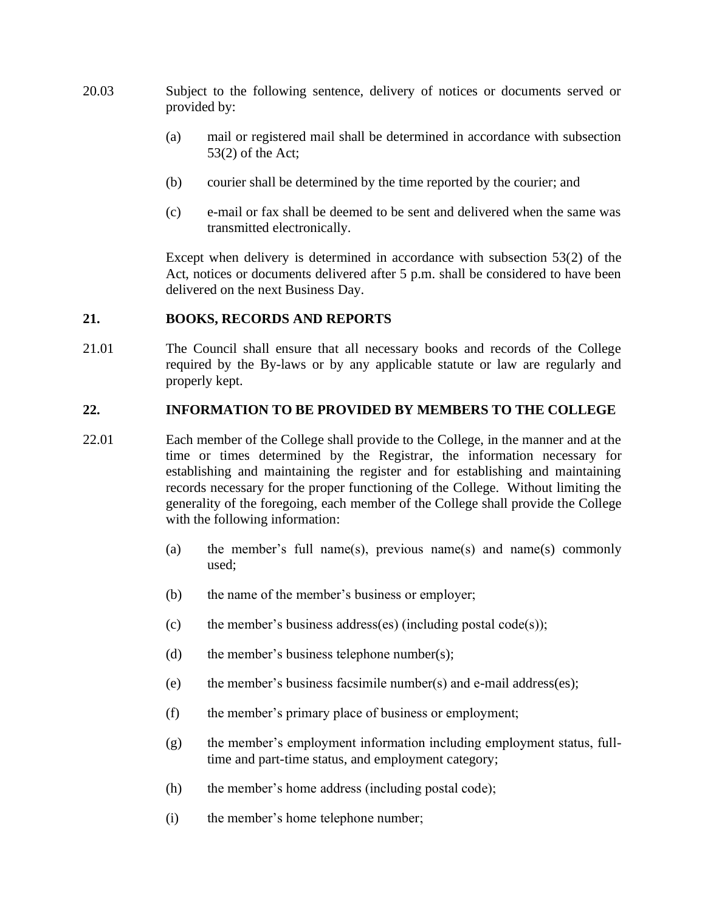- 20.03 Subject to the following sentence, delivery of notices or documents served or provided by:
	- (a) mail or registered mail shall be determined in accordance with subsection 53(2) of the Act;
	- (b) courier shall be determined by the time reported by the courier; and
	- (c) e-mail or fax shall be deemed to be sent and delivered when the same was transmitted electronically.

Except when delivery is determined in accordance with subsection 53(2) of the Act, notices or documents delivered after 5 p.m. shall be considered to have been delivered on the next Business Day.

#### **21. BOOKS, RECORDS AND REPORTS**

21.01 The Council shall ensure that all necessary books and records of the College required by the By-laws or by any applicable statute or law are regularly and properly kept.

#### **22. INFORMATION TO BE PROVIDED BY MEMBERS TO THE COLLEGE**

- 22.01 Each member of the College shall provide to the College, in the manner and at the time or times determined by the Registrar, the information necessary for establishing and maintaining the register and for establishing and maintaining records necessary for the proper functioning of the College. Without limiting the generality of the foregoing, each member of the College shall provide the College with the following information:
	- (a) the member's full name(s), previous name(s) and name(s) commonly used;
	- (b) the name of the member's business or employer;
	- (c) the member's business address(es) (including postal code(s));
	- (d) the member's business telephone number(s);
	- (e) the member's business facsimile number(s) and e-mail address(es);
	- (f) the member's primary place of business or employment;
	- (g) the member's employment information including employment status, fulltime and part-time status, and employment category;
	- (h) the member's home address (including postal code);
	- (i) the member's home telephone number;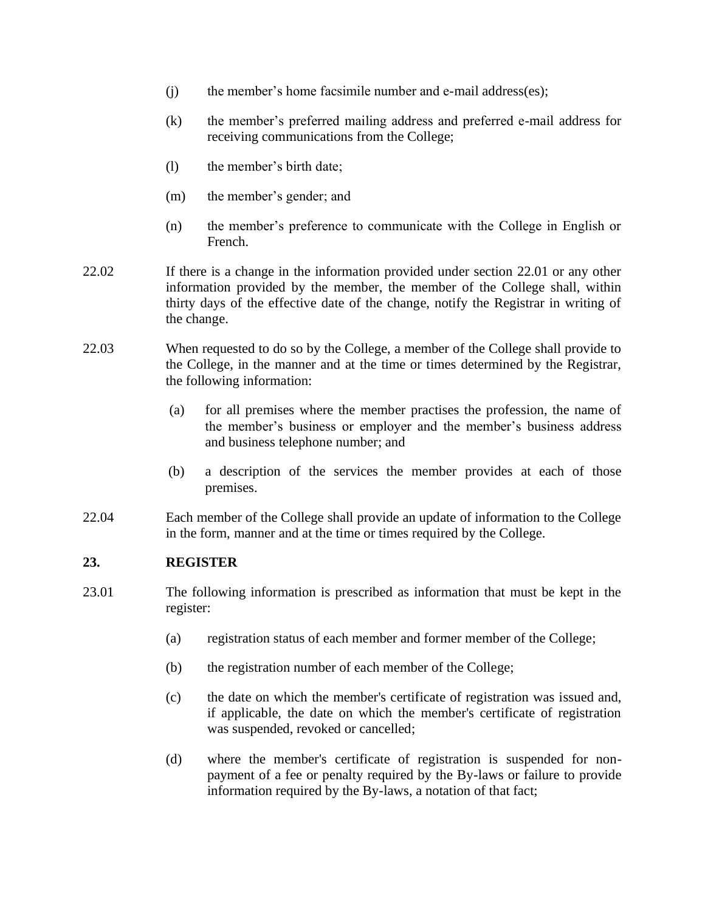- (j) the member's home facsimile number and e-mail address(es);
- (k) the member's preferred mailing address and preferred e-mail address for receiving communications from the College;
- (l) the member's birth date;
- (m) the member's gender; and
- (n) the member's preference to communicate with the College in English or French.
- 22.02 If there is a change in the information provided under section 22.01 or any other information provided by the member, the member of the College shall, within thirty days of the effective date of the change, notify the Registrar in writing of the change.
- 22.03 When requested to do so by the College, a member of the College shall provide to the College, in the manner and at the time or times determined by the Registrar, the following information:
	- (a) for all premises where the member practises the profession, the name of the member's business or employer and the member's business address and business telephone number; and
	- (b) a description of the services the member provides at each of those premises.
- 22.04 Each member of the College shall provide an update of information to the College in the form, manner and at the time or times required by the College.

#### **23. REGISTER**

- 23.01 The following information is prescribed as information that must be kept in the register:
	- (a) registration status of each member and former member of the College;
	- (b) the registration number of each member of the College;
	- (c) the date on which the member's certificate of registration was issued and, if applicable, the date on which the member's certificate of registration was suspended, revoked or cancelled;
	- (d) where the member's certificate of registration is suspended for nonpayment of a fee or penalty required by the By-laws or failure to provide information required by the By-laws, a notation of that fact;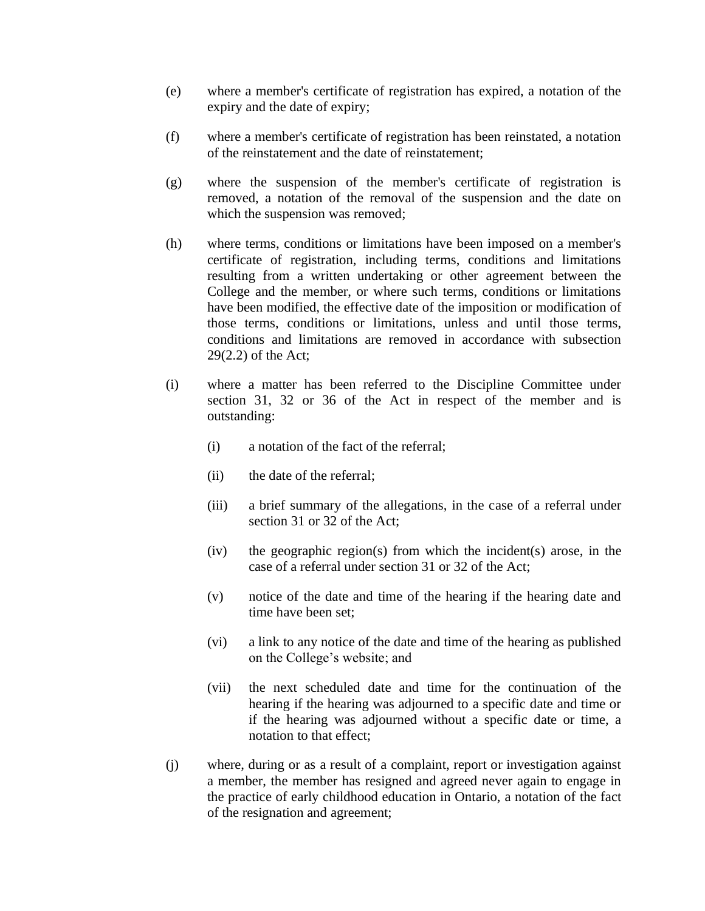- (e) where a member's certificate of registration has expired, a notation of the expiry and the date of expiry;
- (f) where a member's certificate of registration has been reinstated, a notation of the reinstatement and the date of reinstatement;
- (g) where the suspension of the member's certificate of registration is removed, a notation of the removal of the suspension and the date on which the suspension was removed;
- (h) where terms, conditions or limitations have been imposed on a member's certificate of registration, including terms, conditions and limitations resulting from a written undertaking or other agreement between the College and the member, or where such terms, conditions or limitations have been modified, the effective date of the imposition or modification of those terms, conditions or limitations, unless and until those terms, conditions and limitations are removed in accordance with subsection 29(2.2) of the Act;
- (i) where a matter has been referred to the Discipline Committee under section 31, 32 or 36 of the Act in respect of the member and is outstanding:
	- (i) a notation of the fact of the referral;
	- (ii) the date of the referral;
	- (iii) a brief summary of the allegations, in the case of a referral under section 31 or 32 of the Act;
	- (iv) the geographic region(s) from which the incident(s) arose, in the case of a referral under section 31 or 32 of the Act;
	- (v) notice of the date and time of the hearing if the hearing date and time have been set;
	- (vi) a link to any notice of the date and time of the hearing as published on the College's website; and
	- (vii) the next scheduled date and time for the continuation of the hearing if the hearing was adjourned to a specific date and time or if the hearing was adjourned without a specific date or time, a notation to that effect;
- (j) where, during or as a result of a complaint, report or investigation against a member, the member has resigned and agreed never again to engage in the practice of early childhood education in Ontario, a notation of the fact of the resignation and agreement;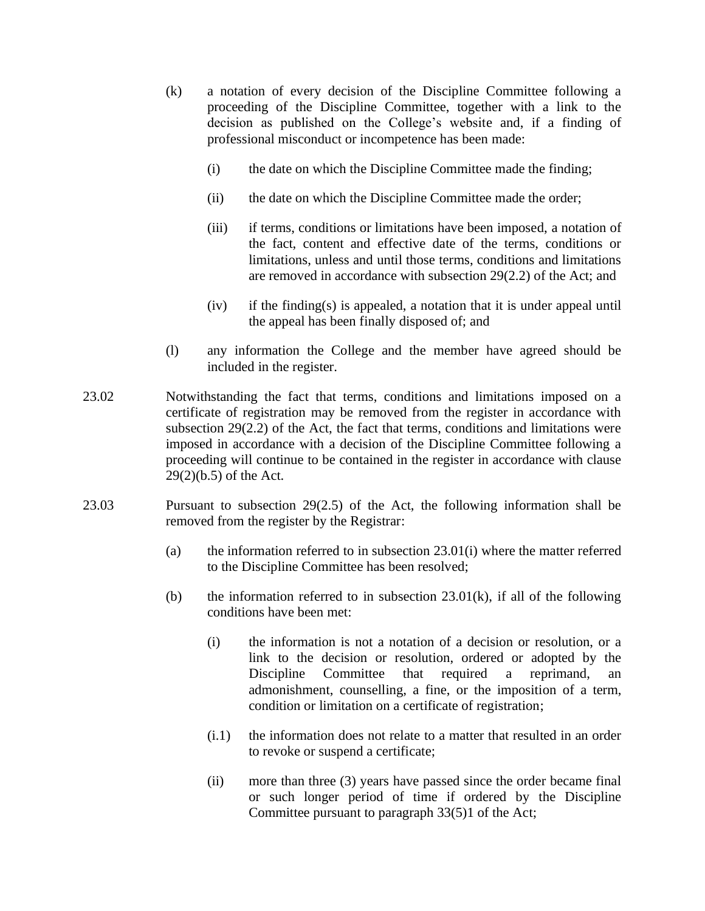- (k) a notation of every decision of the Discipline Committee following a proceeding of the Discipline Committee, together with a link to the decision as published on the College's website and, if a finding of professional misconduct or incompetence has been made:
	- (i) the date on which the Discipline Committee made the finding;
	- (ii) the date on which the Discipline Committee made the order;
	- (iii) if terms, conditions or limitations have been imposed, a notation of the fact, content and effective date of the terms, conditions or limitations, unless and until those terms, conditions and limitations are removed in accordance with subsection 29(2.2) of the Act; and
	- (iv) if the finding(s) is appealed, a notation that it is under appeal until the appeal has been finally disposed of; and
- (l) any information the College and the member have agreed should be included in the register.
- 23.02 Notwithstanding the fact that terms, conditions and limitations imposed on a certificate of registration may be removed from the register in accordance with subsection 29(2.2) of the Act, the fact that terms, conditions and limitations were imposed in accordance with a decision of the Discipline Committee following a proceeding will continue to be contained in the register in accordance with clause 29(2)(b.5) of the Act.
- 23.03 Pursuant to subsection 29(2.5) of the Act, the following information shall be removed from the register by the Registrar:
	- (a) the information referred to in subsection  $23.01(i)$  where the matter referred to the Discipline Committee has been resolved;
	- (b) the information referred to in subsection  $23.01(k)$ , if all of the following conditions have been met:
		- (i) the information is not a notation of a decision or resolution, or a link to the decision or resolution, ordered or adopted by the Discipline Committee that required a reprimand, an admonishment, counselling, a fine, or the imposition of a term, condition or limitation on a certificate of registration;
		- (i.1) the information does not relate to a matter that resulted in an order to revoke or suspend a certificate;
		- (ii) more than three (3) years have passed since the order became final or such longer period of time if ordered by the Discipline Committee pursuant to paragraph 33(5)1 of the Act;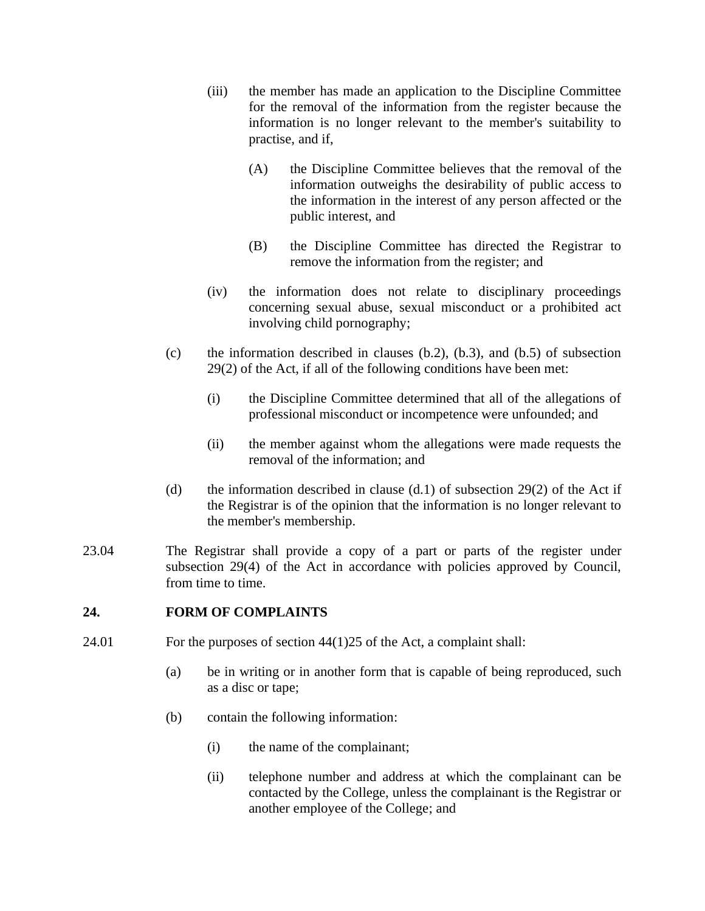- (iii) the member has made an application to the Discipline Committee for the removal of the information from the register because the information is no longer relevant to the member's suitability to practise, and if,
	- (A) the Discipline Committee believes that the removal of the information outweighs the desirability of public access to the information in the interest of any person affected or the public interest, and
	- (B) the Discipline Committee has directed the Registrar to remove the information from the register; and
- (iv) the information does not relate to disciplinary proceedings concerning sexual abuse, sexual misconduct or a prohibited act involving child pornography;
- (c) the information described in clauses  $(b.2)$ ,  $(b.3)$ , and  $(b.5)$  of subsection 29(2) of the Act, if all of the following conditions have been met:
	- (i) the Discipline Committee determined that all of the allegations of professional misconduct or incompetence were unfounded; and
	- (ii) the member against whom the allegations were made requests the removal of the information; and
- (d) the information described in clause  $(d.1)$  of subsection 29(2) of the Act if the Registrar is of the opinion that the information is no longer relevant to the member's membership.
- 23.04 The Registrar shall provide a copy of a part or parts of the register under subsection 29(4) of the Act in accordance with policies approved by Council, from time to time.

#### **24. FORM OF COMPLAINTS**

- 24.01 For the purposes of section 44(1)25 of the Act, a complaint shall:
	- (a) be in writing or in another form that is capable of being reproduced, such as a disc or tape;
	- (b) contain the following information:
		- (i) the name of the complainant;
		- (ii) telephone number and address at which the complainant can be contacted by the College, unless the complainant is the Registrar or another employee of the College; and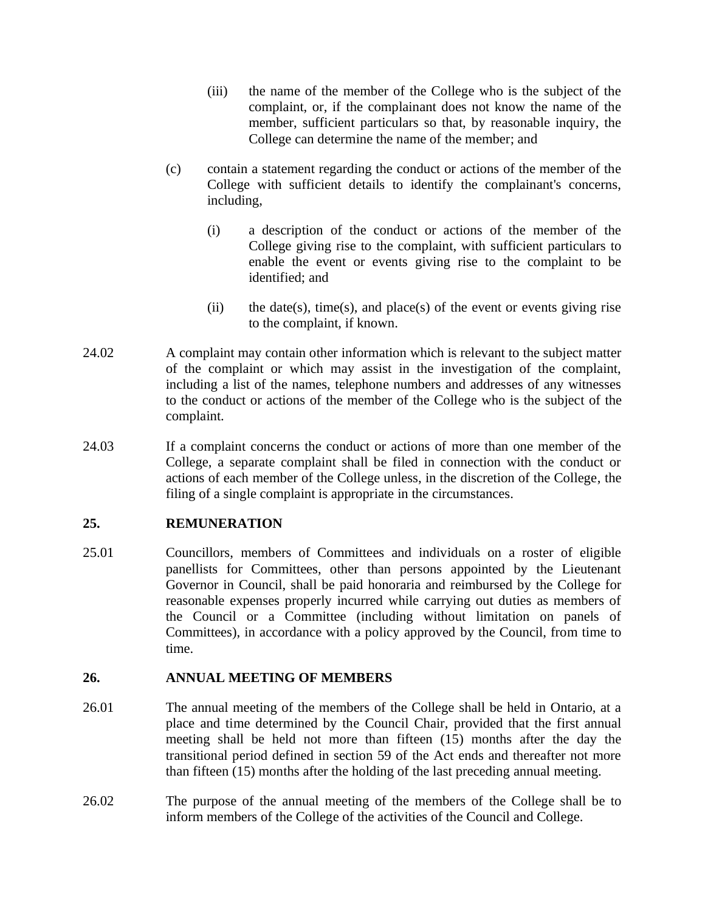- (iii) the name of the member of the College who is the subject of the complaint, or, if the complainant does not know the name of the member, sufficient particulars so that, by reasonable inquiry, the College can determine the name of the member; and
- (c) contain a statement regarding the conduct or actions of the member of the College with sufficient details to identify the complainant's concerns, including,
	- (i) a description of the conduct or actions of the member of the College giving rise to the complaint, with sufficient particulars to enable the event or events giving rise to the complaint to be identified; and
	- (ii) the date(s), time(s), and place(s) of the event or events giving rise to the complaint, if known.
- 24.02 A complaint may contain other information which is relevant to the subject matter of the complaint or which may assist in the investigation of the complaint, including a list of the names, telephone numbers and addresses of any witnesses to the conduct or actions of the member of the College who is the subject of the complaint.
- 24.03 If a complaint concerns the conduct or actions of more than one member of the College, a separate complaint shall be filed in connection with the conduct or actions of each member of the College unless, in the discretion of the College, the filing of a single complaint is appropriate in the circumstances.

## **25. REMUNERATION**

25.01 Councillors, members of Committees and individuals on a roster of eligible panellists for Committees, other than persons appointed by the Lieutenant Governor in Council, shall be paid honoraria and reimbursed by the College for reasonable expenses properly incurred while carrying out duties as members of the Council or a Committee (including without limitation on panels of Committees), in accordance with a policy approved by the Council, from time to time.

#### **26. ANNUAL MEETING OF MEMBERS**

- 26.01 The annual meeting of the members of the College shall be held in Ontario, at a place and time determined by the Council Chair, provided that the first annual meeting shall be held not more than fifteen (15) months after the day the transitional period defined in section 59 of the Act ends and thereafter not more than fifteen (15) months after the holding of the last preceding annual meeting.
- 26.02 The purpose of the annual meeting of the members of the College shall be to inform members of the College of the activities of the Council and College.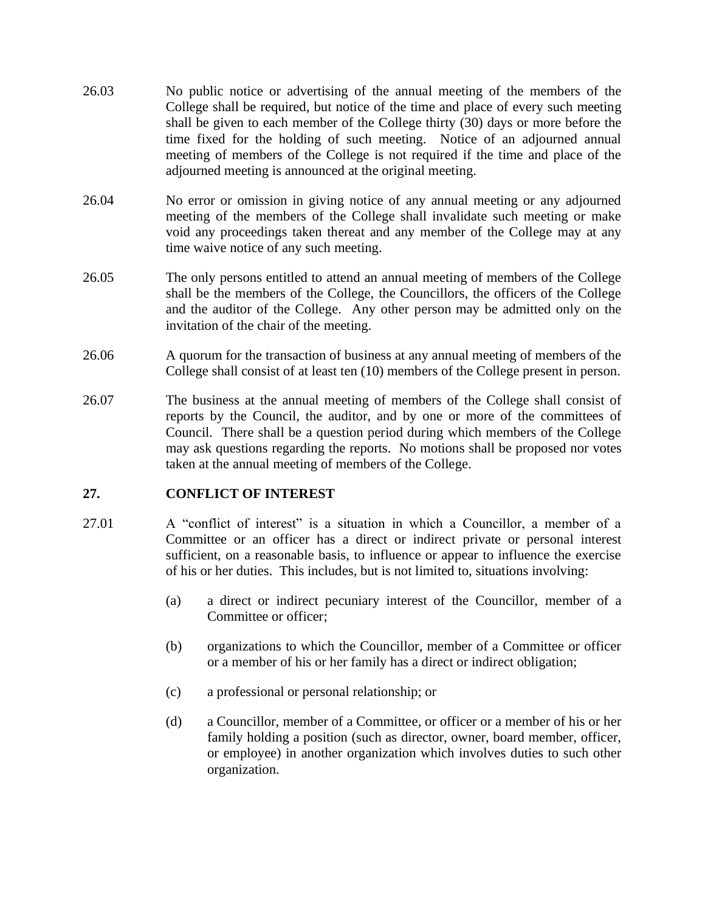- 26.03 No public notice or advertising of the annual meeting of the members of the College shall be required, but notice of the time and place of every such meeting shall be given to each member of the College thirty (30) days or more before the time fixed for the holding of such meeting. Notice of an adjourned annual meeting of members of the College is not required if the time and place of the adjourned meeting is announced at the original meeting.
- 26.04 No error or omission in giving notice of any annual meeting or any adjourned meeting of the members of the College shall invalidate such meeting or make void any proceedings taken thereat and any member of the College may at any time waive notice of any such meeting.
- 26.05 The only persons entitled to attend an annual meeting of members of the College shall be the members of the College, the Councillors, the officers of the College and the auditor of the College. Any other person may be admitted only on the invitation of the chair of the meeting.
- 26.06 A quorum for the transaction of business at any annual meeting of members of the College shall consist of at least ten (10) members of the College present in person.
- 26.07 The business at the annual meeting of members of the College shall consist of reports by the Council, the auditor, and by one or more of the committees of Council. There shall be a question period during which members of the College may ask questions regarding the reports. No motions shall be proposed nor votes taken at the annual meeting of members of the College.

#### **27. CONFLICT OF INTEREST**

- 27.01 A "conflict of interest" is a situation in which a Councillor, a member of a Committee or an officer has a direct or indirect private or personal interest sufficient, on a reasonable basis, to influence or appear to influence the exercise of his or her duties. This includes, but is not limited to, situations involving:
	- (a) a direct or indirect pecuniary interest of the Councillor, member of a Committee or officer;
	- (b) organizations to which the Councillor, member of a Committee or officer or a member of his or her family has a direct or indirect obligation;
	- (c) a professional or personal relationship; or
	- (d) a Councillor, member of a Committee, or officer or a member of his or her family holding a position (such as director, owner, board member, officer, or employee) in another organization which involves duties to such other organization.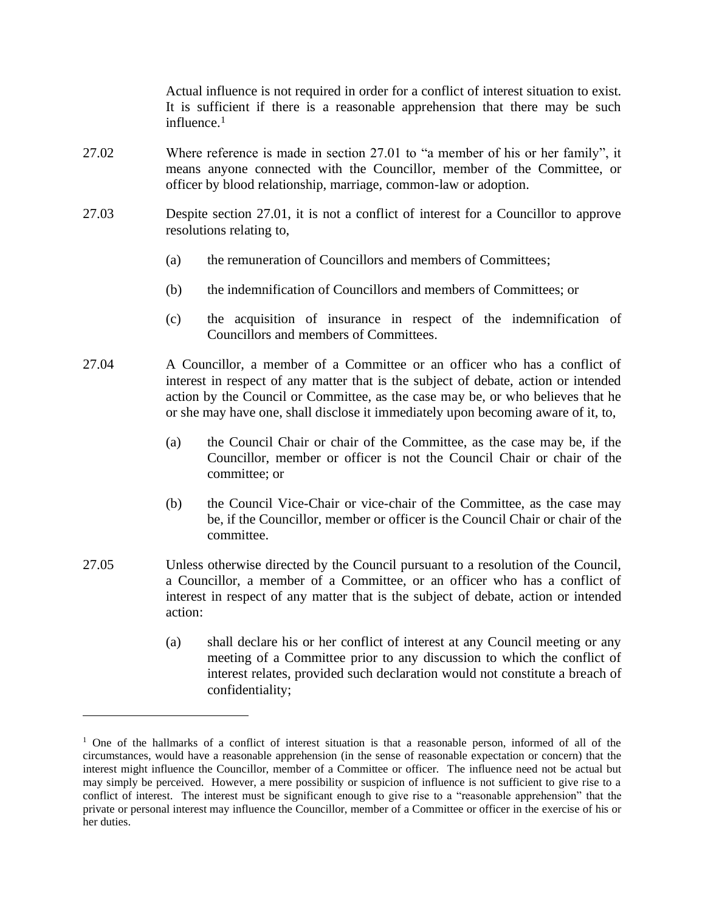Actual influence is not required in order for a conflict of interest situation to exist. It is sufficient if there is a reasonable apprehension that there may be such influence.<sup>1</sup>

- 27.02 Where reference is made in section 27.01 to "a member of his or her family", it means anyone connected with the Councillor, member of the Committee, or officer by blood relationship, marriage, common-law or adoption.
- 27.03 Despite section 27.01, it is not a conflict of interest for a Councillor to approve resolutions relating to,
	- (a) the remuneration of Councillors and members of Committees;
	- (b) the indemnification of Councillors and members of Committees; or
	- (c) the acquisition of insurance in respect of the indemnification of Councillors and members of Committees.
- 27.04 A Councillor, a member of a Committee or an officer who has a conflict of interest in respect of any matter that is the subject of debate, action or intended action by the Council or Committee, as the case may be, or who believes that he or she may have one, shall disclose it immediately upon becoming aware of it, to,
	- (a) the Council Chair or chair of the Committee, as the case may be, if the Councillor, member or officer is not the Council Chair or chair of the committee; or
	- (b) the Council Vice-Chair or vice-chair of the Committee, as the case may be, if the Councillor, member or officer is the Council Chair or chair of the committee.
- 27.05 Unless otherwise directed by the Council pursuant to a resolution of the Council, a Councillor, a member of a Committee, or an officer who has a conflict of interest in respect of any matter that is the subject of debate, action or intended action:
	- (a) shall declare his or her conflict of interest at any Council meeting or any meeting of a Committee prior to any discussion to which the conflict of interest relates, provided such declaration would not constitute a breach of confidentiality;

 $1$  One of the hallmarks of a conflict of interest situation is that a reasonable person, informed of all of the circumstances, would have a reasonable apprehension (in the sense of reasonable expectation or concern) that the interest might influence the Councillor, member of a Committee or officer. The influence need not be actual but may simply be perceived. However, a mere possibility or suspicion of influence is not sufficient to give rise to a conflict of interest. The interest must be significant enough to give rise to a "reasonable apprehension" that the private or personal interest may influence the Councillor, member of a Committee or officer in the exercise of his or her duties.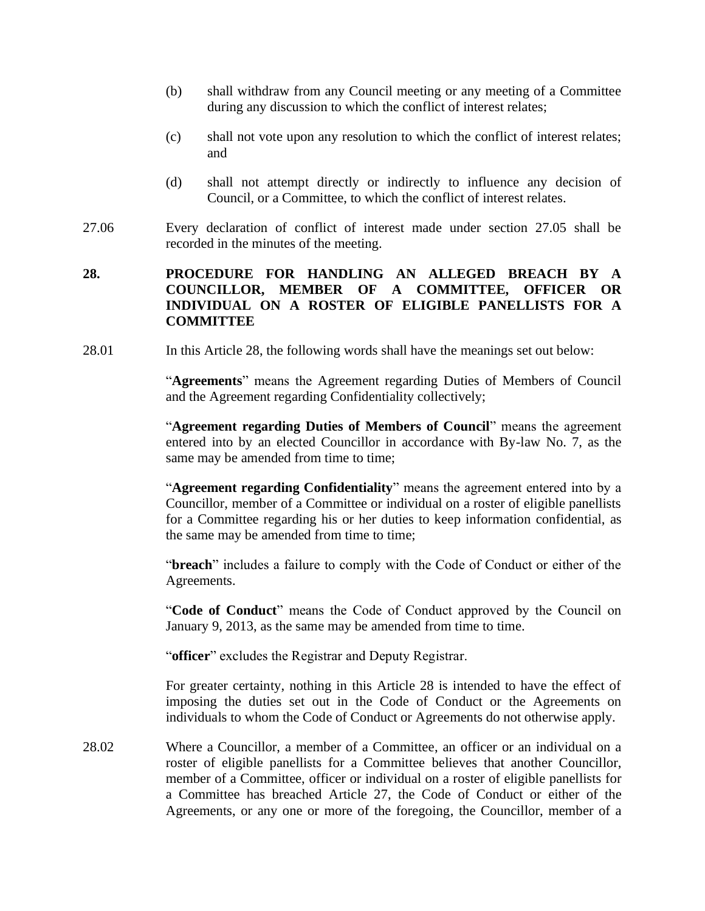- (b) shall withdraw from any Council meeting or any meeting of a Committee during any discussion to which the conflict of interest relates;
- (c) shall not vote upon any resolution to which the conflict of interest relates; and
- (d) shall not attempt directly or indirectly to influence any decision of Council, or a Committee, to which the conflict of interest relates.
- 27.06 Every declaration of conflict of interest made under section 27.05 shall be recorded in the minutes of the meeting.

## **28. PROCEDURE FOR HANDLING AN ALLEGED BREACH BY A COUNCILLOR, MEMBER OF A COMMITTEE, OFFICER OR INDIVIDUAL ON A ROSTER OF ELIGIBLE PANELLISTS FOR A COMMITTEE**

28.01 In this Article 28, the following words shall have the meanings set out below:

"**Agreements**" means the Agreement regarding Duties of Members of Council and the Agreement regarding Confidentiality collectively;

"**Agreement regarding Duties of Members of Council**" means the agreement entered into by an elected Councillor in accordance with By-law No. 7, as the same may be amended from time to time;

"**Agreement regarding Confidentiality**" means the agreement entered into by a Councillor, member of a Committee or individual on a roster of eligible panellists for a Committee regarding his or her duties to keep information confidential, as the same may be amended from time to time;

"**breach**" includes a failure to comply with the Code of Conduct or either of the Agreements.

"**Code of Conduct**" means the Code of Conduct approved by the Council on January 9, 2013, as the same may be amended from time to time.

"**officer**" excludes the Registrar and Deputy Registrar.

For greater certainty, nothing in this Article 28 is intended to have the effect of imposing the duties set out in the Code of Conduct or the Agreements on individuals to whom the Code of Conduct or Agreements do not otherwise apply.

28.02 Where a Councillor, a member of a Committee, an officer or an individual on a roster of eligible panellists for a Committee believes that another Councillor, member of a Committee, officer or individual on a roster of eligible panellists for a Committee has breached Article 27, the Code of Conduct or either of the Agreements, or any one or more of the foregoing, the Councillor, member of a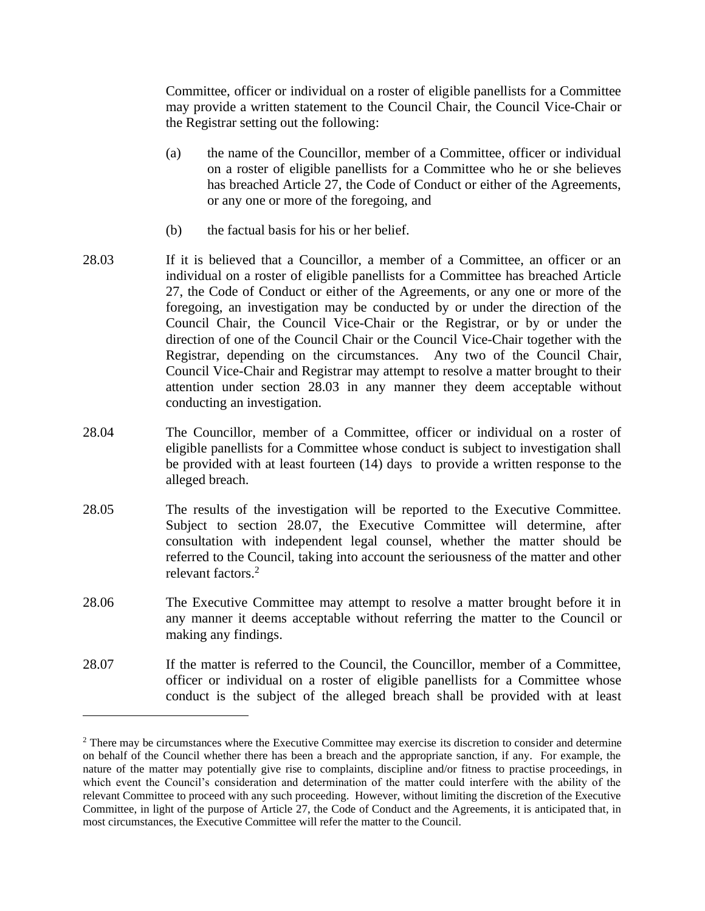Committee, officer or individual on a roster of eligible panellists for a Committee may provide a written statement to the Council Chair, the Council Vice-Chair or the Registrar setting out the following:

- (a) the name of the Councillor, member of a Committee, officer or individual on a roster of eligible panellists for a Committee who he or she believes has breached Article 27, the Code of Conduct or either of the Agreements, or any one or more of the foregoing, and
- (b) the factual basis for his or her belief.
- 28.03 If it is believed that a Councillor, a member of a Committee, an officer or an individual on a roster of eligible panellists for a Committee has breached Article 27, the Code of Conduct or either of the Agreements, or any one or more of the foregoing, an investigation may be conducted by or under the direction of the Council Chair, the Council Vice-Chair or the Registrar, or by or under the direction of one of the Council Chair or the Council Vice-Chair together with the Registrar, depending on the circumstances. Any two of the Council Chair, Council Vice-Chair and Registrar may attempt to resolve a matter brought to their attention under section 28.03 in any manner they deem acceptable without conducting an investigation.
- 28.04 The Councillor, member of a Committee, officer or individual on a roster of eligible panellists for a Committee whose conduct is subject to investigation shall be provided with at least fourteen (14) days to provide a written response to the alleged breach.
- 28.05 The results of the investigation will be reported to the Executive Committee. Subject to section 28.07, the Executive Committee will determine, after consultation with independent legal counsel, whether the matter should be referred to the Council, taking into account the seriousness of the matter and other relevant factors.<sup>2</sup>
- 28.06 The Executive Committee may attempt to resolve a matter brought before it in any manner it deems acceptable without referring the matter to the Council or making any findings.
- 28.07 If the matter is referred to the Council, the Councillor, member of a Committee, officer or individual on a roster of eligible panellists for a Committee whose conduct is the subject of the alleged breach shall be provided with at least

<sup>&</sup>lt;sup>2</sup> There may be circumstances where the Executive Committee may exercise its discretion to consider and determine on behalf of the Council whether there has been a breach and the appropriate sanction, if any. For example, the nature of the matter may potentially give rise to complaints, discipline and/or fitness to practise proceedings, in which event the Council's consideration and determination of the matter could interfere with the ability of the relevant Committee to proceed with any such proceeding. However, without limiting the discretion of the Executive Committee, in light of the purpose of Article 27, the Code of Conduct and the Agreements, it is anticipated that, in most circumstances, the Executive Committee will refer the matter to the Council.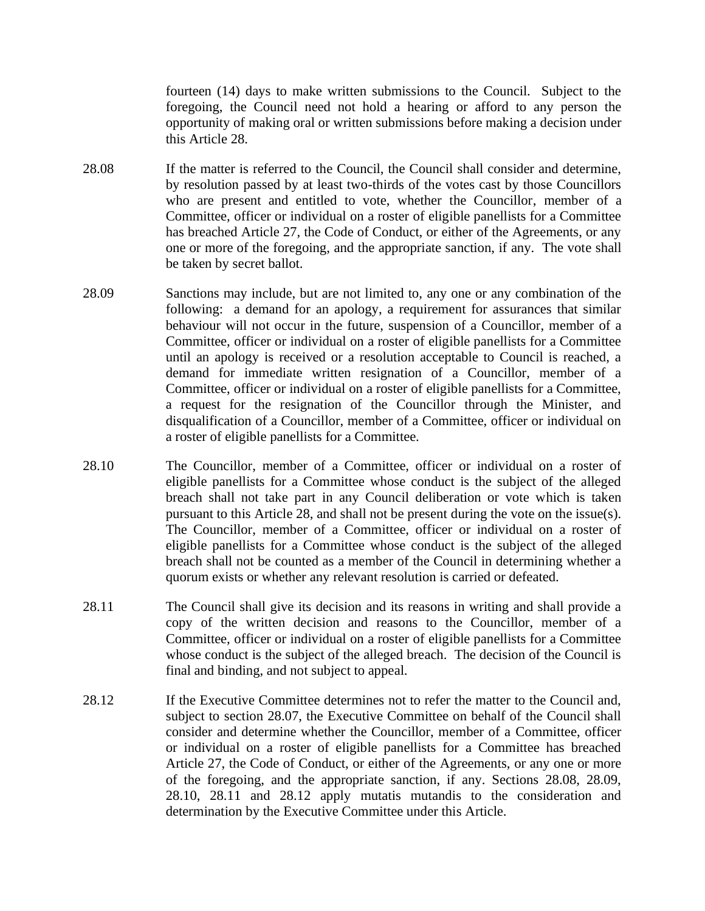fourteen (14) days to make written submissions to the Council. Subject to the foregoing, the Council need not hold a hearing or afford to any person the opportunity of making oral or written submissions before making a decision under this Article 28.

- 28.08 If the matter is referred to the Council, the Council shall consider and determine, by resolution passed by at least two-thirds of the votes cast by those Councillors who are present and entitled to vote, whether the Councillor, member of a Committee, officer or individual on a roster of eligible panellists for a Committee has breached Article 27, the Code of Conduct, or either of the Agreements, or any one or more of the foregoing, and the appropriate sanction, if any. The vote shall be taken by secret ballot.
- 28.09 Sanctions may include, but are not limited to, any one or any combination of the following: a demand for an apology, a requirement for assurances that similar behaviour will not occur in the future, suspension of a Councillor, member of a Committee, officer or individual on a roster of eligible panellists for a Committee until an apology is received or a resolution acceptable to Council is reached, a demand for immediate written resignation of a Councillor, member of a Committee, officer or individual on a roster of eligible panellists for a Committee, a request for the resignation of the Councillor through the Minister, and disqualification of a Councillor, member of a Committee, officer or individual on a roster of eligible panellists for a Committee.
- 28.10 The Councillor, member of a Committee, officer or individual on a roster of eligible panellists for a Committee whose conduct is the subject of the alleged breach shall not take part in any Council deliberation or vote which is taken pursuant to this Article 28, and shall not be present during the vote on the issue(s). The Councillor, member of a Committee, officer or individual on a roster of eligible panellists for a Committee whose conduct is the subject of the alleged breach shall not be counted as a member of the Council in determining whether a quorum exists or whether any relevant resolution is carried or defeated.
- 28.11 The Council shall give its decision and its reasons in writing and shall provide a copy of the written decision and reasons to the Councillor, member of a Committee, officer or individual on a roster of eligible panellists for a Committee whose conduct is the subject of the alleged breach. The decision of the Council is final and binding, and not subject to appeal.
- 28.12 If the Executive Committee determines not to refer the matter to the Council and, subject to section 28.07, the Executive Committee on behalf of the Council shall consider and determine whether the Councillor, member of a Committee, officer or individual on a roster of eligible panellists for a Committee has breached Article 27, the Code of Conduct, or either of the Agreements, or any one or more of the foregoing, and the appropriate sanction, if any. Sections 28.08, 28.09, 28.10, 28.11 and 28.12 apply mutatis mutandis to the consideration and determination by the Executive Committee under this Article.